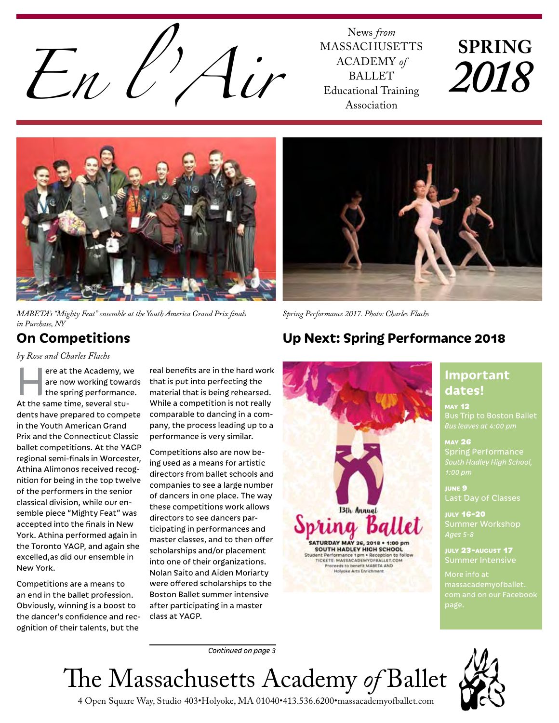

MASSACHUSETTS ACADEMY *of* BALLET Educational Training Association

# **SPRING** *2018*



*MABETA's "Mighty Feat" ensemble at the Youth America Grand Prix finals in Purchase, NY*



*Spring Performance 2017. Photo: Charles Flachs*

#### **On Competitions**

*by Rose and Charles Flachs*

ere at the Academy, we<br>are now working toward<br>the spring performance. are now working towards the spring performance. At the same time, several students have prepared to compete in the Youth American Grand Prix and the Connecticut Classic ballet competitions. At the YAGP regional semi-finals in Worcester, Athina Alimonos received recognition for being in the top twelve of the performers in the senior classical division, while our ensemble piece "Mighty Feat" was accepted into the finals in New York. Athina performed again in the Toronto YAGP, and again she excelled,as did our ensemble in New York.

Competitions are a means to an end in the ballet profession. Obviously, winning is a boost to the dancer's confidence and recognition of their talents, but the

real benefits are in the hard work that is put into perfecting the material that is being rehearsed. While a competition is not really comparable to dancing in a company, the process leading up to a performance is very similar.

Competitions also are now being used as a means for artistic directors from ballet schools and companies to see a large number of dancers in one place. The way these competitions work allows directors to see dancers participating in performances and master classes, and to then offer scholarships and/or placement into one of their organizations. Nolan Saito and Aiden Moriarty were offered scholarships to the Boston Ballet summer intensive after participating in a master class at YAGP.

### **Up Next: Spring Performance 2018**



#### **Important dates!**

**may 12** *Bus leaves at 4:00 pm*

**may 26**

Spring Performance *1:00 pm*

**june 9** Last Day of Classes

**july 16-20** Summer Workshop *Ages 5-8*

**july 23-august 17** Summer Intensive

More info at massacademyofballet. com and on our Facebook page.

*Continued on page 3*

The Massachusetts Academy *of* Ballet

4 Open Square Way, Studio 403•Holyoke, MA 01040•413.536.6200•massacademyofballet.com

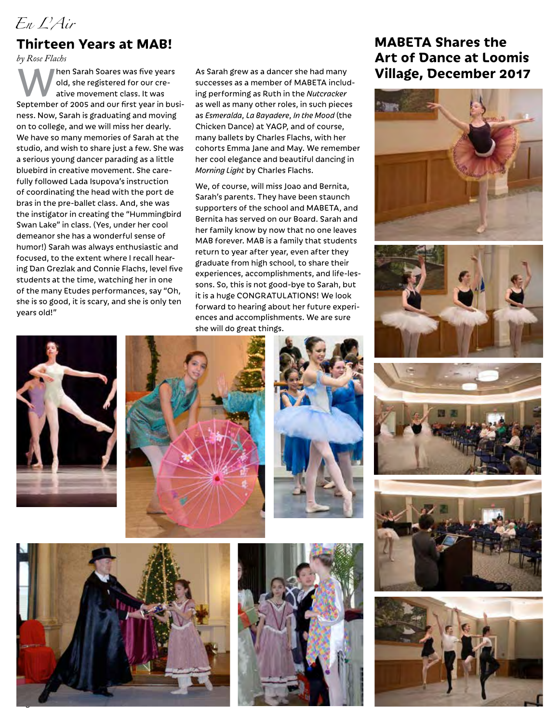## *En L'Air*

#### **Thirteen Years at MAB!**

*by Rose Flachs*

When Sarah Soares was five years<br>old, she registered for our cre-<br>stive movement class. It was old, she registered for our creative movement class. It was September of 2005 and our first year in business. Now, Sarah is graduating and moving on to college, and we will miss her dearly. We have so many memories of Sarah at the studio, and wish to share just a few. She was a serious young dancer parading as a little bluebird in creative movement. She carefully followed Lada Isupova's instruction of coordinating the head with the port de bras in the pre-ballet class. And, she was the instigator in creating the "Hummingbird Swan Lake" in class. (Yes, under her cool demeanor she has a wonderful sense of humor!) Sarah was always enthusiastic and focused, to the extent where I recall hearing Dan Grezlak and Connie Flachs, level five students at the time, watching her in one of the many Etudes performances, say "Oh, she is so good, it is scary, and she is only ten years old!"







As Sarah grew as a dancer she had many successes as a member of MABETA including performing as Ruth in the *Nutcracker* as well as many other roles, in such pieces as *Esmeralda*, *La Bayadere*, *In the Mood* (the Chicken Dance) at YAGP, and of course, many ballets by Charles Flachs, with her cohorts Emma Jane and May. We remember her cool elegance and beautiful dancing in

*Morning Light* by Charles Flachs.

We, of course, will miss Joao and Bernita, Sarah's parents. They have been staunch supporters of the school and MABETA, and Bernita has served on our Board. Sarah and her family know by now that no one leaves MAB forever. MAB is a family that students return to year after year, even after they graduate from high school, to share their experiences, accomplishments, and life-lessons. So, this is not good-bye to Sarah, but it is a huge CONGRATULATIONS! We look forward to hearing about her future experiences and accomplishments. We are sure





#### **MABETA Shares the Art of Dance at Loomis Village, December 2017**









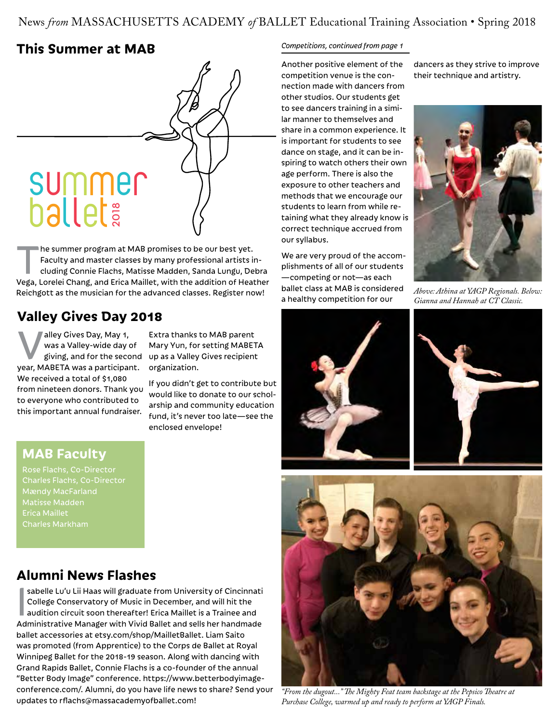#### **This Summer at MAB**



The summer program at MAB promises to be our best yet. Faculty and master classes by many professional artists including Connie Flachs, Matisse Madden, Sanda Lungu, Debra Vega, Lorelei Chang, and Erica Maillet, with the addition of Heather Reichgott as the musician for the advanced classes. Register now!

#### **Valley Gives Day 2018**

alley Gives Day, May 1,<br>was a Valley-wide day of<br>giving, and for the second was a Valley-wide day of year, MABETA was a participant. We received a total of \$1,080 from nineteen donors. Thank you to everyone who contributed to this important annual fundraiser.

giving, and for the second up as a Valley Gives recipient Extra thanks to MAB parent Mary Yun, for setting MABETA organization.

> If you didn't get to contribute but would like to donate to our scholarship and community education fund, it's never too late—see the enclosed envelope!

#### *Competitions, continued from page 1*

Another positive element of the competition venue is the connection made with dancers from other studios. Our students get to see dancers training in a similar manner to themselves and share in a common experience. It is important for students to see dance on stage, and it can be inspiring to watch others their own age perform. There is also the exposure to other teachers and methods that we encourage our students to learn from while retaining what they already know is correct technique accrued from our syllabus.

We are very proud of the accomplishments of all of our students —competing or not—as each ballet class at MAB is considered a healthy competition for our

dancers as they strive to improve their technique and artistry.



*Above: Athina at YAGP Regionals. Below: Gianna and Hannah at CT Classic.*





#### **MAB Faculty**

Rose Flachs, Co-Director Charles Flachs, Co-Director Erica Maillet Charles Markham

#### **Alumni News Flashes**

sabelle Lu'u Lii Haas will graduate from University of Cincinnati<br>College Conservatory of Music in December, and will hit the<br>audition circuit soon thereafter! Erica Maillet is a Trainee and<br>Administrative Manager with Viv sabelle Lu'u Lii Haas will graduate from University of Cincinnati College Conservatory of Music in December, and will hit the audition circuit soon thereafter! Erica Maillet is a Trainee and ballet accessories at etsy.com/shop/MailletBallet. Liam Saito was promoted (from Apprentice) to the Corps de Ballet at Royal Winnipeg Ballet for the 2018-19 season. Along with dancing with Grand Rapids Ballet, Connie Flachs is a co-founder of the annual "Better Body Image" conference. https://www.betterbodyimageconference.com/. Alumni, do you have life news to share? Send your updates to rflachs@massacademyofballet.com!



*"From the dugout..." The Mighty Feat team backstage at the Pepsico Theatre at Purchase College, warmed up and ready to perform at YAGP Finals.*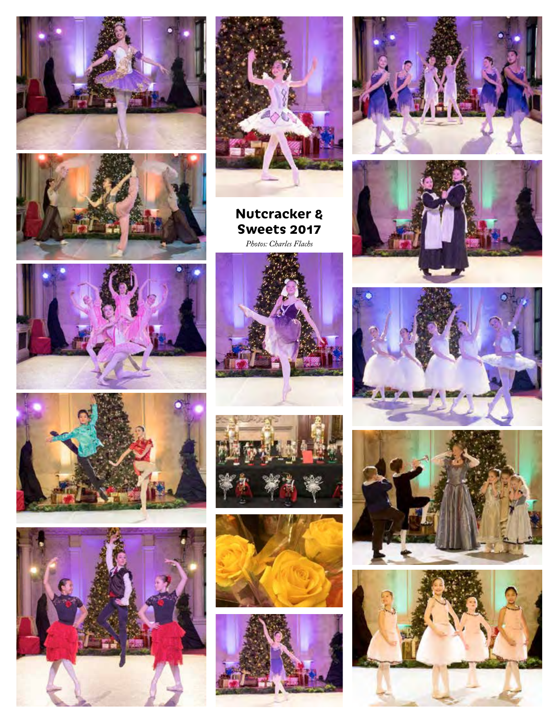





**Nutcracker & Sweets 2017** *Photos: Charles Flachs* 























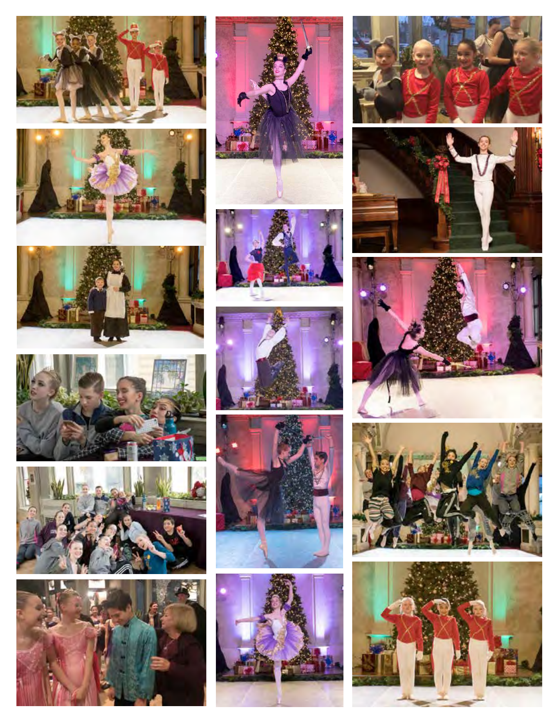































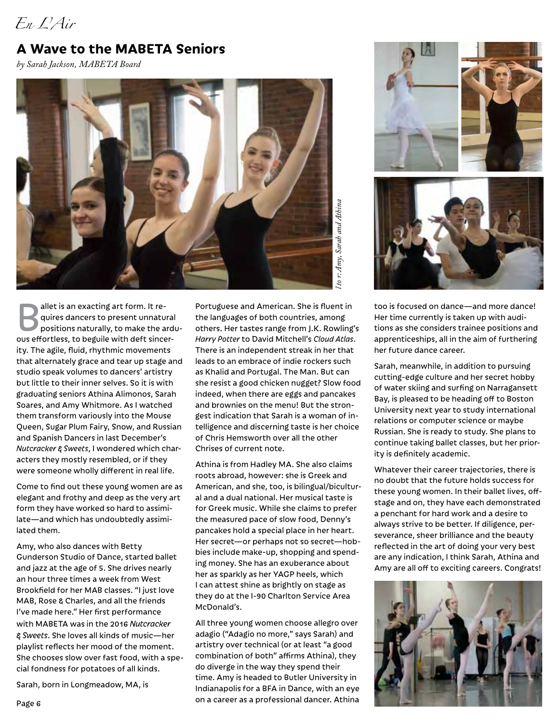### *En L'Air*

#### **A Wave to the MABETA Seniors**

*by Sarah Jackson, MABETA Board*



allet is an exacting art form. It requires dancers to present unnatural positions naturally, to make the arduous effortless, to beguile with deft sincerity. The agile, fluid, rhythmic movements that alternately grace and tear up stage and studio speak volumes to dancers' artistry but little to their inner selves. So it is with graduating seniors Athina Alimonos, Sarah Soares, and Amy Whitmore. As I watched them transform variously into the Mouse Queen, Sugar Plum Fairy, Snow, and Russian and Spanish Dancers in last December's *Nutcracker & Sweets*, I wondered which characters they mostly resembled, or if they were someone wholly different in real life.

Come to find out these young women are as elegant and frothy and deep as the very art form they have worked so hard to assimilate—and which has undoubtedly assimilated them.

Amy, who also dances with Betty Gunderson Studio of Dance, started ballet and jazz at the age of 5. She drives nearly an hour three times a week from West Brookfield for her MAB classes. "I just love MAB, Rose & Charles, and all the friends I've made here." Her first performance with MABETA was in the 2016 *Nutcracker & Sweets*. She loves all kinds of music—her playlist reflects her mood of the moment. She chooses slow over fast food, with a special fondness for potatoes of all kinds.

Sarah, born in Longmeadow, MA, is

Portuguese and American. She is fluent in the languages of both countries, among others. Her tastes range from J.K. Rowling's *Harry Potter* to David Mitchell's *Cloud Atlas*. There is an independent streak in her that leads to an embrace of indie rockers such as Khalid and Portugal. The Man. But can she resist a good chicken nugget? Slow food indeed, when there are eggs and pancakes and brownies on the menu! But the strongest indication that Sarah is a woman of intelligence and discerning taste is her choice of Chris Hemsworth over all the other Chrises of current note.

Athina is from Hadley MA. She also claims roots abroad, however: she is Greek and American, and she, too, is bilingual/bicultural and a dual national. Her musical taste is for Greek music. While she claims to prefer the measured pace of slow food, Denny's pancakes hold a special place in her heart. Her secret—or perhaps not so secret—hobbies include make-up, shopping and spending money. She has an exuberance about her as sparkly as her YAGP heels, which I can attest shine as brightly on stage as they do at the I-90 Charlton Service Area McDonald's.

All three young women choose allegro over adagio ("Adagio no more," says Sarah) and artistry over technical (or at least "a good combination of both" affirms Athina), they do diverge in the way they spend their time. Amy is headed to Butler University in Indianapolis for a BFA in Dance, with an eye on a career as a professional dancer. Athina



too is focused on dance—and more dance! Her time currently is taken up with auditions as she considers trainee positions and apprenticeships, all in the aim of furthering her future dance career.

Sarah, meanwhile, in addition to pursuing cutting-edge culture and her secret hobby of water skiing and surfing on Narragansett Bay, is pleased to be heading off to Boston University next year to study international relations or computer science or maybe Russian. She is ready to study. She plans to continue taking ballet classes, but her priority is definitely academic.

Whatever their career trajectories, there is no doubt that the future holds success for these young women. In their ballet lives, offstage and on, they have each demonstrated a penchant for hard work and a desire to always strive to be better. If diligence, perseverance, sheer brilliance and the beauty reflected in the art of doing your very best are any indication, I think Sarah, Athina and Amy are all off to exciting careers. Congrats!

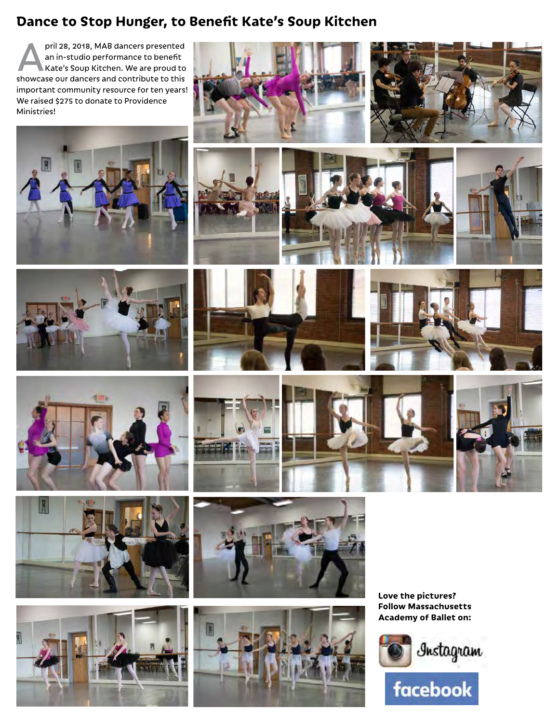#### **Dance to Stop Hunger, to Benefit Kate's Soup Kitchen**

pril 28, 2018, MAB dancers presented<br>
an in-studio performance to benefit<br>
Kate's Soup Kitchen. We are proud to an in-studio performance to benefit showcase our dancers and contribute to this important community resource for ten years! We raised \$275 to donate to Providence Ministries!



























**Love the pictures? Follow Massachusetts Academy of Ballet on:**